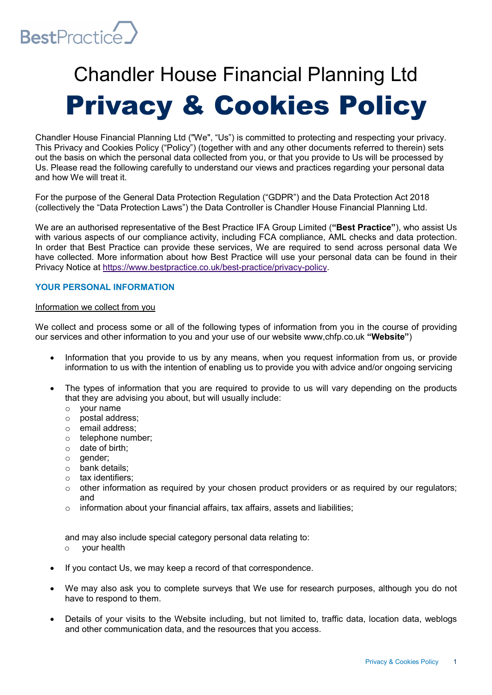

# Chandler House Financial Planning Ltd Privacy & Cookies Policy

Chandler House Financial Planning Ltd ("We", "Us") is committed to protecting and respecting your privacy. This Privacy and Cookies Policy ("Policy") (together with and any other documents referred to therein) sets out the basis on which the personal data collected from you, or that you provide to Us will be processed by Us. Please read the following carefully to understand our views and practices regarding your personal data and how We will treat it.

For the purpose of the General Data Protection Regulation ("GDPR") and the Data Protection Act 2018 (collectively the "Data Protection Laws") the Data Controller is Chandler House Financial Planning Ltd.

We are an authorised representative of the Best Practice IFA Group Limited ("Best Practice"), who assist Us with various aspects of our compliance activity, including FCA compliance, AML checks and data protection. In order that Best Practice can provide these services, We are required to send across personal data We have collected. More information about how Best Practice will use your personal data can be found in their Privacy Notice at https://www.bestpractice.co.uk/best-practice/privacy-policy.

# YOUR PERSONAL INFORMATION

## Information we collect from you

We collect and process some or all of the following types of information from you in the course of providing our services and other information to you and your use of our website www,chfp.co.uk "Website")

- Information that you provide to us by any means, when you request information from us, or provide information to us with the intention of enabling us to provide you with advice and/or ongoing servicing
- The types of information that you are required to provide to us will vary depending on the products that they are advising you about, but will usually include:
	- o your name
	- o postal address;
	- o email address;
	- o telephone number;
	- o date of birth;
	- $\circ$  gender;
	- o bank details;
	- o tax identifiers;
	- $\circ$  other information as required by your chosen product providers or as required by our requiators; and
	- o information about your financial affairs, tax affairs, assets and liabilities;

and may also include special category personal data relating to:

- o your health
- If you contact Us, we may keep a record of that correspondence.
- We may also ask you to complete surveys that We use for research purposes, although you do not have to respond to them.
- Details of your visits to the Website including, but not limited to, traffic data, location data, weblogs and other communication data, and the resources that you access.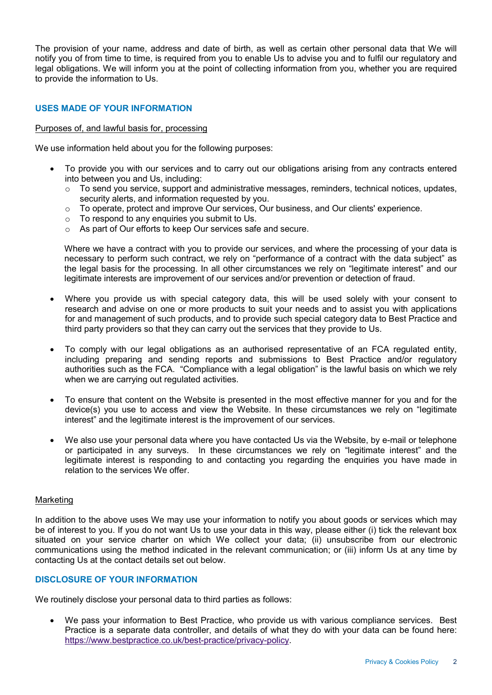The provision of your name, address and date of birth, as well as certain other personal data that We will notify you of from time to time, is required from you to enable Us to advise you and to fulfil our regulatory and legal obligations. We will inform you at the point of collecting information from you, whether you are required to provide the information to Us.

# USES MADE OF YOUR INFORMATION

#### Purposes of, and lawful basis for, processing

We use information held about you for the following purposes:

- To provide you with our services and to carry out our obligations arising from any contracts entered into between you and Us, including:
	- o To send you service, support and administrative messages, reminders, technical notices, updates, security alerts, and information requested by you.
	- o To operate, protect and improve Our services, Our business, and Our clients' experience.
	- o To respond to any enquiries you submit to Us.
	- o As part of Our efforts to keep Our services safe and secure.

Where we have a contract with you to provide our services, and where the processing of your data is necessary to perform such contract, we rely on "performance of a contract with the data subject" as the legal basis for the processing. In all other circumstances we rely on "legitimate interest" and our legitimate interests are improvement of our services and/or prevention or detection of fraud.

- Where you provide us with special category data, this will be used solely with your consent to research and advise on one or more products to suit your needs and to assist you with applications for and management of such products, and to provide such special category data to Best Practice and third party providers so that they can carry out the services that they provide to Us.
- To comply with our legal obligations as an authorised representative of an FCA regulated entity, including preparing and sending reports and submissions to Best Practice and/or regulatory authorities such as the FCA. "Compliance with a legal obligation" is the lawful basis on which we rely when we are carrying out regulated activities.
- To ensure that content on the Website is presented in the most effective manner for you and for the device(s) you use to access and view the Website. In these circumstances we rely on "legitimate interest" and the legitimate interest is the improvement of our services.
- We also use your personal data where you have contacted Us via the Website, by e-mail or telephone or participated in any surveys. In these circumstances we rely on "legitimate interest" and the legitimate interest is responding to and contacting you regarding the enquiries you have made in relation to the services We offer.

#### Marketing

In addition to the above uses We may use your information to notify you about goods or services which may be of interest to you. If you do not want Us to use your data in this way, please either (i) tick the relevant box situated on your service charter on which We collect your data; (ii) unsubscribe from our electronic communications using the method indicated in the relevant communication; or (iii) inform Us at any time by contacting Us at the contact details set out below.

# DISCLOSURE OF YOUR INFORMATION

We routinely disclose your personal data to third parties as follows:

 We pass your information to Best Practice, who provide us with various compliance services. Best Practice is a separate data controller, and details of what they do with your data can be found here: https://www.bestpractice.co.uk/best-practice/privacy-policy.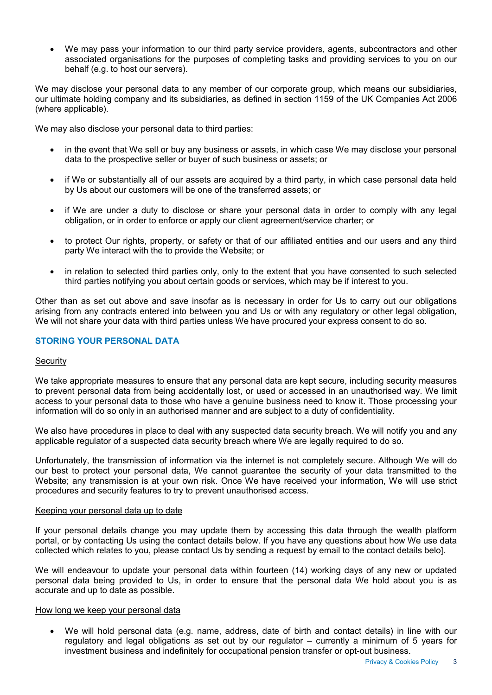We may pass your information to our third party service providers, agents, subcontractors and other associated organisations for the purposes of completing tasks and providing services to you on our behalf (e.g. to host our servers).

We may disclose your personal data to any member of our corporate group, which means our subsidiaries, our ultimate holding company and its subsidiaries, as defined in section 1159 of the UK Companies Act 2006 (where applicable).

We may also disclose your personal data to third parties:

- in the event that We sell or buy any business or assets, in which case We may disclose your personal data to the prospective seller or buyer of such business or assets; or
- if We or substantially all of our assets are acquired by a third party, in which case personal data held by Us about our customers will be one of the transferred assets; or
- if We are under a duty to disclose or share your personal data in order to comply with any legal obligation, or in order to enforce or apply our client agreement/service charter; or
- to protect Our rights, property, or safety or that of our affiliated entities and our users and any third party We interact with the to provide the Website; or
- in relation to selected third parties only, only to the extent that you have consented to such selected third parties notifying you about certain goods or services, which may be if interest to you.

Other than as set out above and save insofar as is necessary in order for Us to carry out our obligations arising from any contracts entered into between you and Us or with any regulatory or other legal obligation, We will not share your data with third parties unless We have procured your express consent to do so.

# STORING YOUR PERSONAL DATA

# **Security**

We take appropriate measures to ensure that any personal data are kept secure, including security measures to prevent personal data from being accidentally lost, or used or accessed in an unauthorised way. We limit access to your personal data to those who have a genuine business need to know it. Those processing your information will do so only in an authorised manner and are subject to a duty of confidentiality.

We also have procedures in place to deal with any suspected data security breach. We will notify you and any applicable regulator of a suspected data security breach where We are legally required to do so.

Unfortunately, the transmission of information via the internet is not completely secure. Although We will do our best to protect your personal data, We cannot guarantee the security of your data transmitted to the Website; any transmission is at your own risk. Once We have received your information, We will use strict procedures and security features to try to prevent unauthorised access.

#### Keeping your personal data up to date

If your personal details change you may update them by accessing this data through the wealth platform portal, or by contacting Us using the contact details below. If you have any questions about how We use data collected which relates to you, please contact Us by sending a request by email to the contact details belo].

We will endeavour to update your personal data within fourteen (14) working days of any new or updated personal data being provided to Us, in order to ensure that the personal data We hold about you is as accurate and up to date as possible.

#### How long we keep your personal data

 We will hold personal data (e.g. name, address, date of birth and contact details) in line with our regulatory and legal obligations as set out by our regulator – currently a minimum of 5 years for investment business and indefinitely for occupational pension transfer or opt-out business.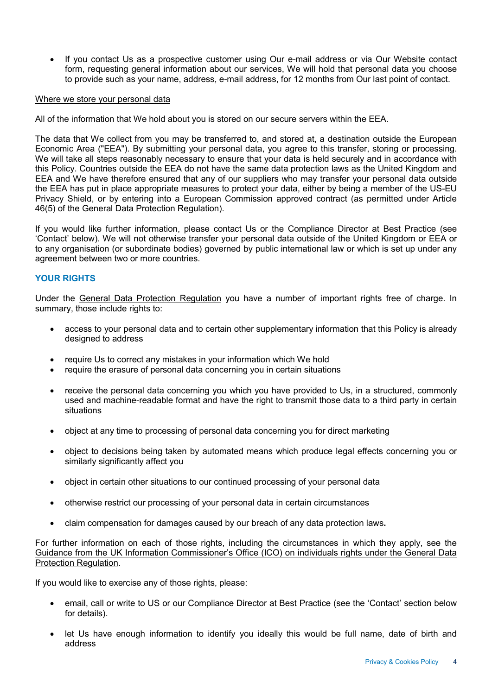If you contact Us as a prospective customer using Our e-mail address or via Our Website contact form, requesting general information about our services, We will hold that personal data you choose to provide such as your name, address, e-mail address, for 12 months from Our last point of contact.

## Where we store your personal data

All of the information that We hold about you is stored on our secure servers within the EEA.

The data that We collect from you may be transferred to, and stored at, a destination outside the European Economic Area ("EEA"). By submitting your personal data, you agree to this transfer, storing or processing. We will take all steps reasonably necessary to ensure that your data is held securely and in accordance with this Policy. Countries outside the EEA do not have the same data protection laws as the United Kingdom and EEA and We have therefore ensured that any of our suppliers who may transfer your personal data outside the EEA has put in place appropriate measures to protect your data, either by being a member of the US-EU Privacy Shield, or by entering into a European Commission approved contract (as permitted under Article 46(5) of the General Data Protection Regulation).

If you would like further information, please contact Us or the Compliance Director at Best Practice (see 'Contact' below). We will not otherwise transfer your personal data outside of the United Kingdom or EEA or to any organisation (or subordinate bodies) governed by public international law or which is set up under any agreement between two or more countries.

# YOUR RIGHTS

Under the General Data Protection Regulation you have a number of important rights free of charge. In summary, those include rights to:

- access to your personal data and to certain other supplementary information that this Policy is already designed to address
- require Us to correct any mistakes in your information which We hold
- require the erasure of personal data concerning you in certain situations
- receive the personal data concerning you which you have provided to Us, in a structured, commonly used and machine-readable format and have the right to transmit those data to a third party in certain situations
- object at any time to processing of personal data concerning you for direct marketing
- object to decisions being taken by automated means which produce legal effects concerning you or similarly significantly affect you
- object in certain other situations to our continued processing of your personal data
- otherwise restrict our processing of your personal data in certain circumstances
- claim compensation for damages caused by our breach of any data protection laws.

For further information on each of those rights, including the circumstances in which they apply, see the Guidance from the UK Information Commissioner's Office (ICO) on individuals rights under the General Data Protection Regulation.

If you would like to exercise any of those rights, please:

- email, call or write to US or our Compliance Director at Best Practice (see the 'Contact' section below for details).
- let Us have enough information to identify you ideally this would be full name, date of birth and address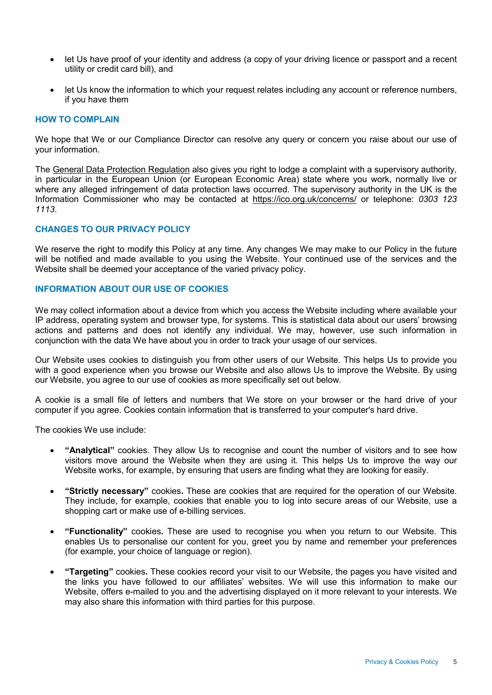- let Us have proof of your identity and address (a copy of your driving licence or passport and a recent utility or credit card bill), and
- let Us know the information to which your request relates including any account or reference numbers, if you have them

#### HOW TO COMPLAIN

We hope that We or our Compliance Director can resolve any query or concern you raise about our use of your information.

The General Data Protection Regulation also gives you right to lodge a complaint with a supervisory authority, in particular in the European Union (or European Economic Area) state where you work, normally live or where any alleged infringement of data protection laws occurred. The supervisory authority in the UK is the Information Commissioner who may be contacted at https://ico.org.uk/concerns/ or telephone: 0303 123 1113.

#### CHANGES TO OUR PRIVACY POLICY

We reserve the right to modify this Policy at any time. Any changes We may make to our Policy in the future will be notified and made available to you using the Website. Your continued use of the services and the Website shall be deemed your acceptance of the varied privacy policy.

# INFORMATION ABOUT OUR USE OF COOKIES

We may collect information about a device from which you access the Website including where available your IP address, operating system and browser type, for systems. This is statistical data about our users' browsing actions and patterns and does not identify any individual. We may, however, use such information in conjunction with the data We have about you in order to track your usage of our services.

Our Website uses cookies to distinguish you from other users of our Website. This helps Us to provide you with a good experience when you browse our Website and also allows Us to improve the Website. By using our Website, you agree to our use of cookies as more specifically set out below.

A cookie is a small file of letters and numbers that We store on your browser or the hard drive of your computer if you agree. Cookies contain information that is transferred to your computer's hard drive.

The cookies We use include:

- "Analytical" cookies. They allow Us to recognise and count the number of visitors and to see how visitors move around the Website when they are using it. This helps Us to improve the way our Website works, for example, by ensuring that users are finding what they are looking for easily.
- "Strictly necessary" cookies. These are cookies that are required for the operation of our Website. They include, for example, cookies that enable you to log into secure areas of our Website, use a shopping cart or make use of e-billing services.
- **.** "Functionality" cookies. These are used to recognise you when you return to our Website. This enables Us to personalise our content for you, greet you by name and remember your preferences (for example, your choice of language or region).
- "Targeting" cookies. These cookies record your visit to our Website, the pages you have visited and the links you have followed to our affiliates' websites. We will use this information to make our Website, offers e-mailed to you and the advertising displayed on it more relevant to your interests. We may also share this information with third parties for this purpose.